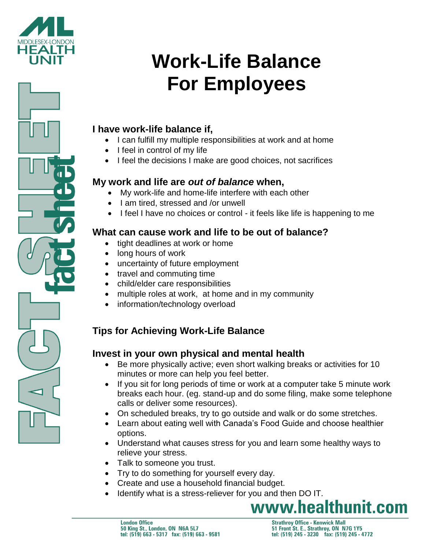

## **I have work-life balance if,**

- I can fulfill my multiple responsibilities at work and at home
- $\bullet$  I feel in control of my life
- I feel the decisions I make are good choices, not sacrifices

## **My work and life are** *out of balance* **when,**

- My work-life and home-life interfere with each other
- I am tired, stressed and /or unwell
- I feel I have no choices or control it feels like life is happening to me

## **What can cause work and life to be out of balance?**

- tight deadlines at work or home
- long hours of work
- uncertainty of future employment
- travel and commuting time
- child/elder care responsibilities
- multiple roles at work, at home and in my community
- information/technology overload

# **Tips for Achieving Work-Life Balance**

## **Invest in your own physical and mental health**

- Be more physically active; even short walking breaks or activities for 10 minutes or more can help you feel better.
- If you sit for long periods of time or work at a computer take 5 minute work breaks each hour. (eg. stand-up and do some filing, make some telephone calls or deliver some resources).
- On scheduled breaks, try to go outside and walk or do some stretches.
- Learn about eating well with Canada's Food Guide and choose healthier options.
- Understand what causes stress for you and learn some healthy ways to relieve your stress.
- Talk to someone you trust.
- Try to do something for yourself every day.
- Create and use a household financial budget.
- Identify what is a stress-reliever for you and then DO IT.

www.healthunit.com